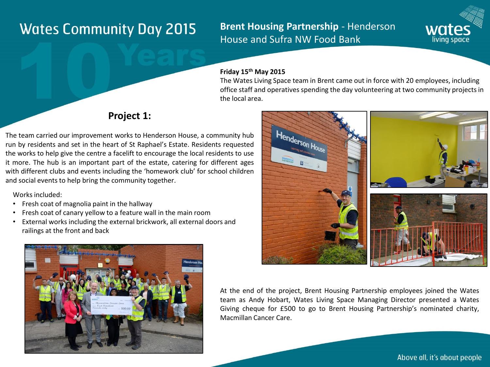# **Wates Community Day 2015**

**Brent Housing Partnership** - Henderson House and Sufra NW Food Bank



#### **Friday 15th May 2015**

The Wates Living Space team in Brent came out in force with 20 employees, including office staff and operatives spending the day volunteering at two community projects in the local area.

## **Project 1:**

The team carried our improvement works to Henderson House, a community hub run by residents and set in the heart of St Raphael's Estate. Residents requested the works to help give the centre a facelift to encourage the local residents to use it more. The hub is an important part of the estate, catering for different ages with different clubs and events including the 'homework club' for school children and social events to help bring the community together.

Works included:

- Fresh coat of magnolia paint in the hallway
- Fresh coat of canary yellow to a feature wall in the main room
- External works including the external brickwork, all external doors and railings at the front and back





At the end of the project, Brent Housing Partnership employees joined the Wates team as Andy Hobart, Wates Living Space Managing Director presented a Wates Giving cheque for £500 to go to Brent Housing Partnership's nominated charity, Macmillan Cancer Care.

### Above all, it's about people